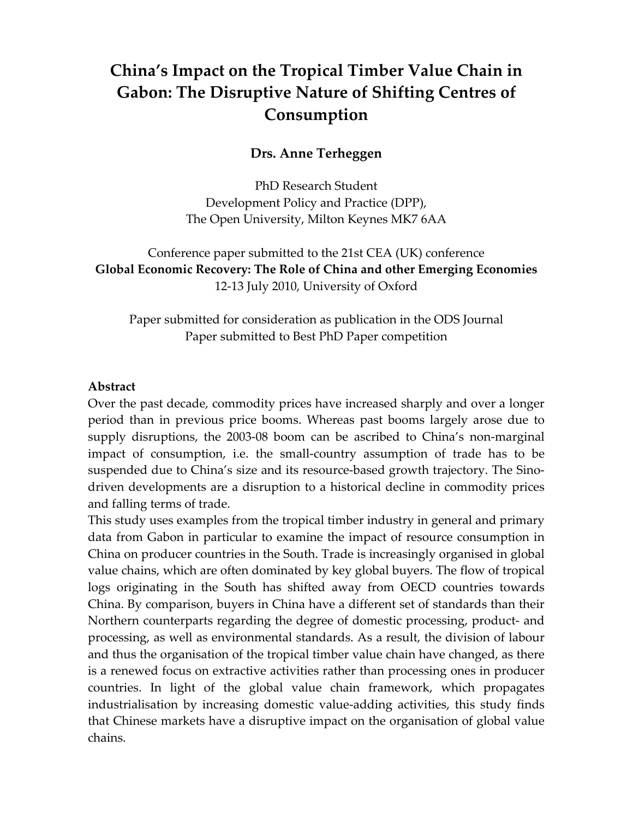# **China's Impact on the Tropical Timber Value Chain in Gabon: The Disruptive Nature of Shifting Centres of Consumption**

# **Drs. Anne Terheggen**

PhD Research Student Development Policy and Practice (DPP), The Open University, Milton Keynes MK7 6AA

Conference paper submitted to the 21st CEA (UK) conference **Global Economic Recovery: The Role of China and other Emerging Economies** 12‐13 July 2010, University of Oxford

Paper submitted for consideration as publication in the ODS Journal Paper submitted to Best PhD Paper competition

#### **Abstract**

Over the past decade, commodity prices have increased sharply and over a longer period than in previous price booms. Whereas past booms largely arose due to supply disruptions, the 2003-08 boom can be ascribed to China's non-marginal impact of consumption, i.e. the small‐country assumption of trade has to be suspended due to China's size and its resource-based growth trajectory. The Sinodriven developments are a disruption to a historical decline in commodity prices and falling terms of trade.

This study uses examples from the tropical timber industry in general and primary data from Gabon in particular to examine the impact of resource consumption in China on producer countries in the South. Trade is increasingly organised in global value chains, which are often dominated by key global buyers. The flow of tropical logs originating in the South has shifted away from OECD countries towards China. By comparison, buyers in China have a different set of standards than their Northern counterparts regarding the degree of domestic processing, product‐ and processing, as well as environmental standards. As a result, the division of labour and thus the organisation of the tropical timber value chain have changed, as there is a renewed focus on extractive activities rather than processing ones in producer countries. In light of the global value chain framework, which propagates industrialisation by increasing domestic value‐adding activities, this study finds that Chinese markets have a disruptive impact on the organisation of global value chains.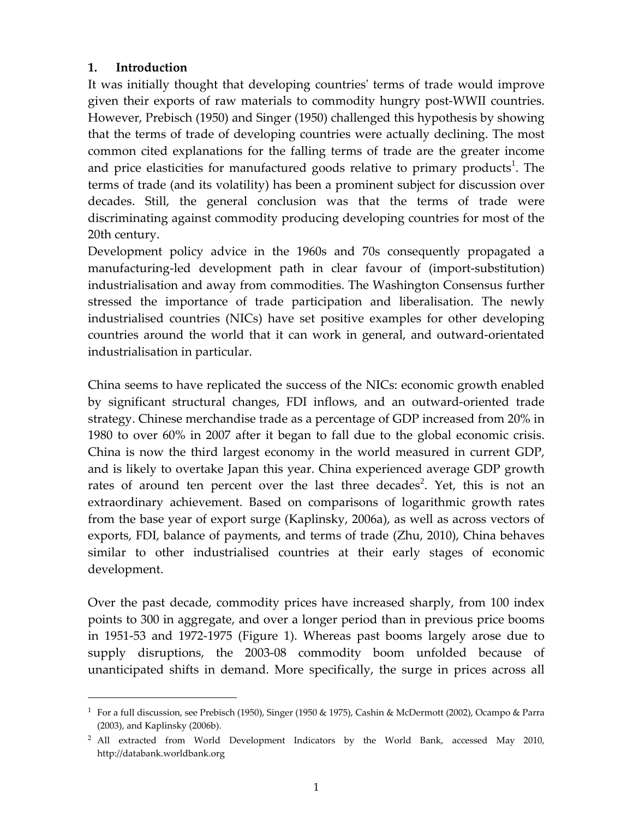# **1. Introduction**

1

It was initially thought that developing countriesʹ terms of trade would improve given their exports of raw materials to commodity hungry post‐WWII countries. However, Prebisch (1950) and Singer (1950) challenged this hypothesis by showing that the terms of trade of developing countries were actually declining. The most common cited explanations for the falling terms of trade are the greater income and price elasticities for manufactured goods relative to primary products<sup>[1](#page-1-0)</sup>. The terms of trade (and its volatility) has been a prominent subject for discussion over decades. Still, the general conclusion was that the terms of trade were discriminating against commodity producing developing countries for most of the 20th century.

Development policy advice in the 1960s and 70s consequently propagated a manufacturing‐led development path in clear favour of (import‐substitution) industrialisation and away from commodities. The Washington Consensus further stressed the importance of trade participation and liberalisation. The newly industrialised countries (NICs) have set positive examples for other developing countries around the world that it can work in general, and outward‐orientated industrialisation in particular.

China seems to have replicated the success of the NICs: economic growth enabled by significant structural changes, FDI inflows, and an outward‐oriented trade strategy. Chinese merchandise trade as a percentage of GDP increased from 20% in 1980 to over 60% in 2007 after it began to fall due to the global economic crisis. China is now the third largest economy in the world measured in current GDP, and is likely to overtake Japan this year. China experienced average GDP growth rates of around ten percent over the last three decades<sup>[2](#page-1-1)</sup>. Yet, this is not an extraordinary achievement. Based on comparisons of logarithmic growth rates from the base year of export surge (Kaplinsky, 2006a), as well as across vectors of exports, FDI, balance of payments, and terms of trade (Zhu, 2010), China behaves similar to other industrialised countries at their early stages of economic development.

Over the past decade, commodity prices have increased sharply, from 100 index points to 300 in aggregate, and over a longer period than in previous price booms in 1951‐53 and 1972‐1975 (Figure 1). Whereas past booms largely arose due to supply disruptions, the 2003‐08 commodity boom unfolded because of unanticipated shifts in demand. More specifically, the surge in prices across all

<span id="page-1-0"></span><sup>&</sup>lt;sup>1</sup> For a full discussion, see Prebisch (1950), Singer (1950 & 1975), Cashin & McDermott (2002), Ocampo & Parra (2003), and Kaplinsky (2006b).

<span id="page-1-1"></span><sup>&</sup>lt;sup>2</sup> All extracted from World Development Indicators by the World Bank, accessed May 2010, http://databank.worldbank.org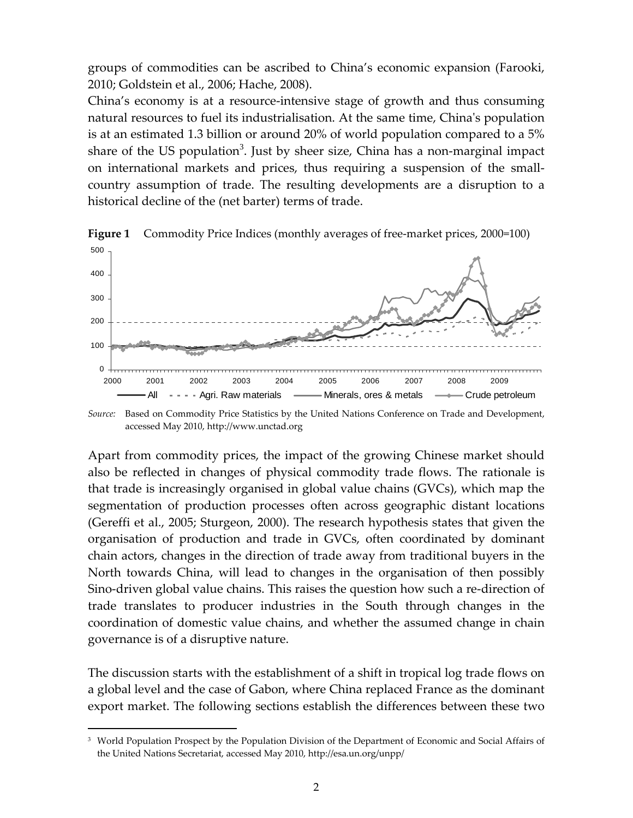groups of commodities can be ascribed to China's economic expansion (Farooki, 2010; Goldstein et al., 2006; Hache, 2008).

China's economy is at a resource‐intensive stage of growth and thus consuming natural resources to fuel its industrialisation. At the same time, Chinaʹs population is at an estimated 1.3 billion or around 20% of world population compared to a 5% share of the US population<sup>[3](#page-2-0)</sup>. Just by sheer size, China has a non-marginal impact on international markets and prices, thus requiring a suspension of the small‐ country assumption of trade. The resulting developments are a disruption to a historical decline of the (net barter) terms of trade.



**Figure 1** Commodity Price Indices (monthly averages of free-market prices, 2000=100)

*Source:* Based on Commodity Price Statistics by the United Nations Conference on Trade and Development, accessed May 2010, http://www.unctad.org

Apart from commodity prices, the impact of the growing Chinese market should also be reflected in changes of physical commodity trade flows. The rationale is that trade is increasingly organised in global value chains (GVCs), which map the segmentation of production processes often across geographic distant locations (Gereffi et al., 2005; Sturgeon, 2000). The research hypothesis states that given the organisation of production and trade in GVCs, often coordinated by dominant chain actors, changes in the direction of trade away from traditional buyers in the North towards China, will lead to changes in the organisation of then possibly Sino‐driven global value chains. This raises the question how such a re‐direction of trade translates to producer industries in the South through changes in the coordination of domestic value chains, and whether the assumed change in chain governance is of a disruptive nature.

The discussion starts with the establishment of a shift in tropical log trade flows on a global level and the case of Gabon, where China replaced France as the dominant export market. The following sections establish the differences between these two

 $\overline{a}$ 

<span id="page-2-0"></span><sup>&</sup>lt;sup>3</sup> World Population Prospect by the Population Division of the Department of Economic and Social Affairs of the United Nations Secretariat, accessed May 2010, http://esa.un.org/unpp/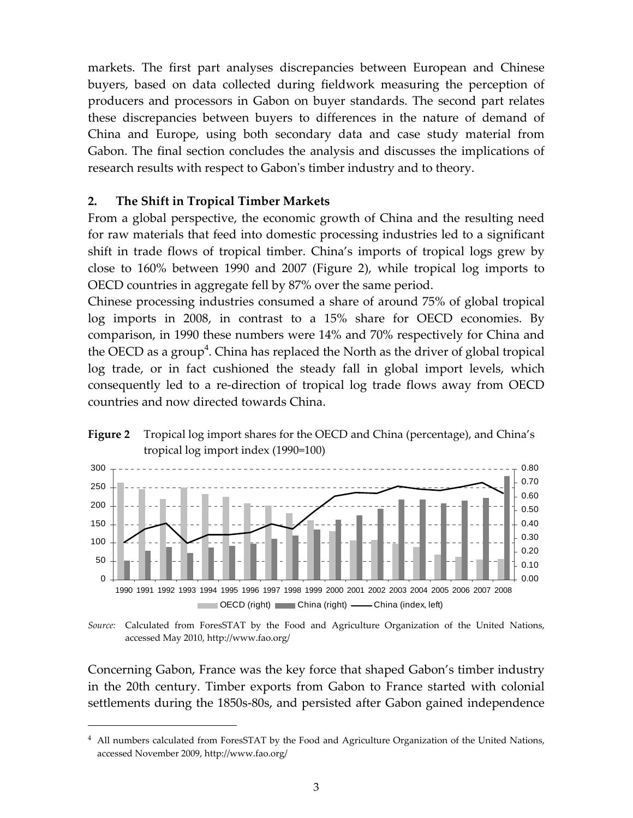markets. The first part analyses discrepancies between European and Chinese buyers, based on data collected during fieldwork measuring the perception of producers and processors in Gabon on buyer standards. The second part relates these discrepancies between buyers to differences in the nature of demand of China and Europe, using both secondary data and case study material from Gabon. The final section concludes the analysis and discusses the implications of research results with respect to Gabonʹs timber industry and to theory.

# **2. The Shift in Tropical Timber Markets**

 $\overline{a}$ 

From a global perspective, the economic growth of China and the resulting need for raw materials that feed into domestic processing industries led to a significant shift in trade flows of tropical timber. China's imports of tropical logs grew by close to 160% between 1990 and 2007 (Figure 2), while tropical log imports to OECD countries in aggregate fell by 87% over the same period.

Chinese processing industries consumed a share of around 75% of global tropical log imports in 2008, in contrast to a 15% share for OECD economies. By comparison, in 1990 these numbers were 14% and 70% respectively for China and the OECD as a group<sup>[4](#page-3-0)</sup>. China has replaced the North as the driver of global tropical log trade, or in fact cushioned the steady fall in global import levels, which consequently led to a re‐direction of tropical log trade flows away from OECD countries and now directed towards China.





*Source:* Calculated from ForesSTAT by the Food and Agriculture Organization of the United Nations, accessed May 2010, http://www.fao.org/

Concerning Gabon, France was the key force that shaped Gabon's timber industry in the 20th century. Timber exports from Gabon to France started with colonial settlements during the 1850s‐80s, and persisted after Gabon gained independence

<span id="page-3-0"></span><sup>4</sup> All numbers calculated from ForesSTAT by the Food and Agriculture Organization of the United Nations, accessed November 2009, http://www.fao.org/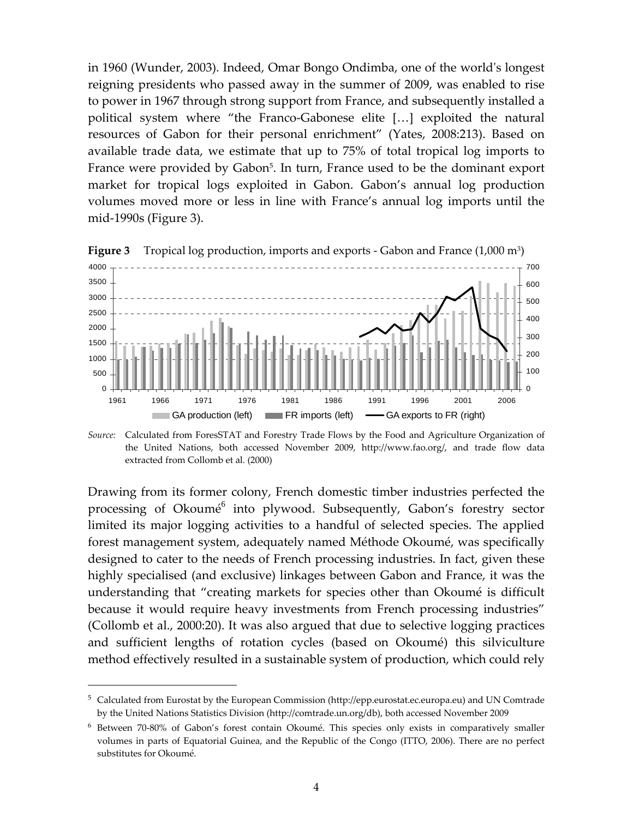in 1960 (Wunder, 2003). Indeed, Omar Bongo Ondimba, one of the worldʹs longest reigning presidents who passed away in the summer of 2009, was enabled to rise to power in 1967 through strong support from France, and subsequently installed a political system where "the Franco‐Gabonese elite […] exploited the natural resources of Gabon for their personal enrichment" (Yates, 2008:213). Based on available trade data, we estimate that up to 75% of total tropical log imports to France were provided by Gabon<sup>5</sup>. In turn, France used to be the dominant export market for tropical logs exploited in Gabon. Gabon's annual log production volumes moved more or less in line with France's annual log imports until the mid‐1990s (Figure 3).



**Figure 3** Tropical log production, imports and exports - Gabon and France (1,000 m<sup>3</sup>)

*Source:* Calculated from ForesSTAT and Forestry Trade Flows by the Food and Agriculture Organization of the United Nations, both accessed November 2009, http://www.fao.org/, and trade flow data extracted from Collomb et al. (2000)

Drawing from its former colony, French domestic timber industries perfected the processing of Okoumé<sup>[6](#page-4-1)</sup> into plywood. Subsequently, Gabon's forestry sector limited its major logging activities to a handful of selected species. The applied forest management system, adequately named Méthode Okoumé, was specifically designed to cater to the needs of French processing industries. In fact, given these highly specialised (and exclusive) linkages between Gabon and France, it was the understanding that "creating markets for species other than Okoumé is difficult because it would require heavy investments from French processing industries" (Collomb et al., 2000:20). It was also argued that due to selective logging practices and sufficient lengths of rotation cycles (based on Okoumé) this silviculture method effectively resulted in a sustainable system of production, which could rely

 $\overline{a}$ 

<span id="page-4-0"></span><sup>5</sup> Calculated from Eurostat by the European Commission (http://epp.eurostat.ec.europa.eu) and UN Comtrade by the United Nations Statistics Division (http://comtrade.un.org/db), both accessed November 2009

<span id="page-4-1"></span><sup>6</sup> Between 70‐80% of Gabon's forest contain Okoumé. This species only exists in comparatively smaller volumes in parts of Equatorial Guinea, and the Republic of the Congo (ITTO, 2006). There are no perfect substitutes for Okoumé.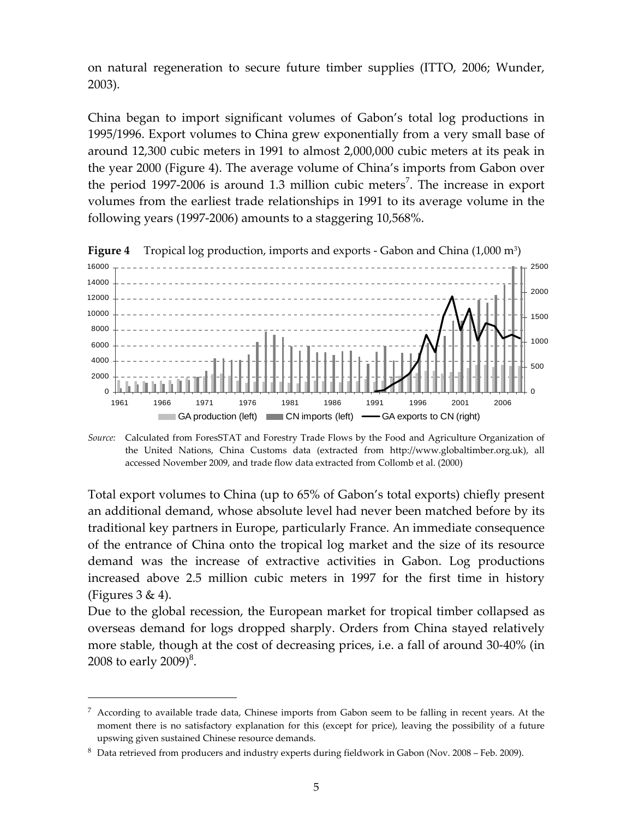on natural regeneration to secure future timber supplies (ITTO, 2006; Wunder, 2003).

China began to import significant volumes of Gabon's total log productions in 1995/1996. Export volumes to China grew exponentially from a very small base of around 12,300 cubic meters in 1991 to almost 2,000,000 cubic meters at its peak in the year 2000 (Figure 4). The average volume of China's imports from Gabon over the period 199[7](#page-5-0)-2006 is around 1.3 million cubic meters<sup>7</sup>. The increase in export volumes from the earliest trade relationships in 1991 to its average volume in the following years (1997‐2006) amounts to a staggering 10,568%.



**Figure** 4 Tropical log production, imports and exports - Gabon and China (1,000 m<sup>3</sup>)

*Source:* Calculated from ForesSTAT and Forestry Trade Flows by the Food and Agriculture Organization of the United Nations, China Customs data (extracted from http://www.globaltimber.org.uk), all accessed November 2009, and trade flow data extracted from Collomb et al. (2000)

Total export volumes to China (up to 65% of Gabon's total exports) chiefly present an additional demand, whose absolute level had never been matched before by its traditional key partners in Europe, particularly France. An immediate consequence of the entrance of China onto the tropical log market and the size of its resource demand was the increase of extractive activities in Gabon. Log productions increased above 2.5 million cubic meters in 1997 for the first time in history (Figures  $3 \& 4$ ).

Due to the global recession, the European market for tropical timber collapsed as overseas demand for logs dropped sharply. Orders from China stayed relatively more stable, though at the cost of decreasing prices, i.e. a fall of around 30‐40% (in 200[8](#page-5-1) to early 2009) $^8$ .

1

<span id="page-5-0"></span> $7$  According to available trade data, Chinese imports from Gabon seem to be falling in recent years. At the moment there is no satisfactory explanation for this (except for price), leaving the possibility of a future upswing given sustained Chinese resource demands.

<span id="page-5-1"></span><sup>8</sup> Data retrieved from producers and industry experts during fieldwork in Gabon (Nov. 2008 – Feb. 2009).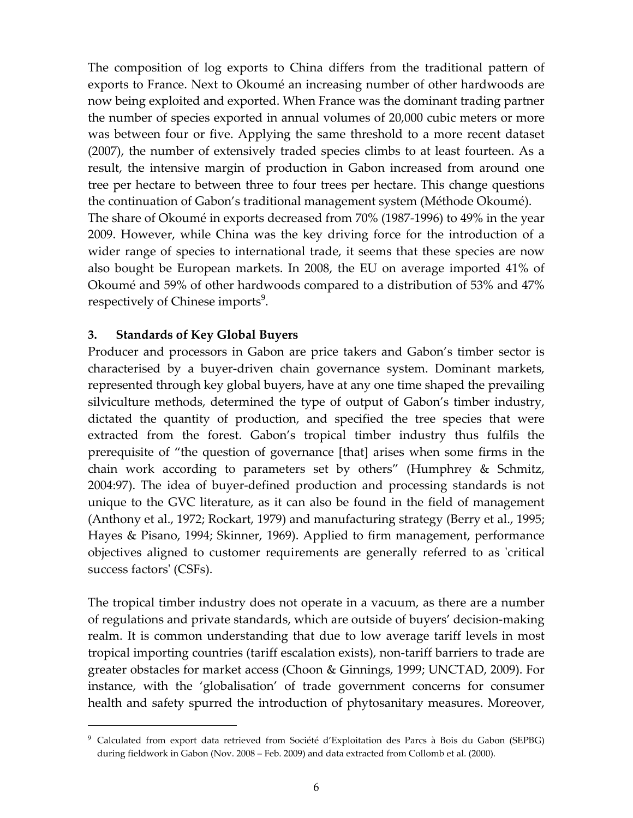The composition of log exports to China differs from the traditional pattern of exports to France. Next to Okoumé an increasing number of other hardwoods are now being exploited and exported. When France was the dominant trading partner the number of species exported in annual volumes of 20,000 cubic meters or more was between four or five. Applying the same threshold to a more recent dataset (2007), the number of extensively traded species climbs to at least fourteen. As a result, the intensive margin of production in Gabon increased from around one tree per hectare to between three to four trees per hectare. This change questions the continuation of Gabon's traditional management system (Méthode Okoumé). The share of Okoumé in exports decreased from 70% (1987‐1996) to 49% in the year 2009. However, while China was the key driving force for the introduction of a wider range of species to international trade, it seems that these species are now also bought be European markets. In 2008, the EU on average imported 41% of Okoumé and 59% of other hardwoods compared to a distribution of 53% and 47% respectively of Chinese imports<sup>[9](#page-6-0)</sup>.

# **3. Standards of Key Global Buyers**

1

Producer and processors in Gabon are price takers and Gabon's timber sector is characterised by a buyer-driven chain governance system. Dominant markets, represented through key global buyers, have at any one time shaped the prevailing silviculture methods, determined the type of output of Gabon's timber industry, dictated the quantity of production, and specified the tree species that were extracted from the forest. Gabon's tropical timber industry thus fulfils the prerequisite of "the question of governance [that] arises when some firms in the chain work according to parameters set by others" (Humphrey & Schmitz, 2004:97). The idea of buyer‐defined production and processing standards is not unique to the GVC literature, as it can also be found in the field of management (Anthony et al., 1972; Rockart, 1979) and manufacturing strategy (Berry et al., 1995; Hayes & Pisano, 1994; Skinner, 1969). Applied to firm management, performance objectives aligned to customer requirements are generally referred to as ʹcritical success factors' (CSFs).

The tropical timber industry does not operate in a vacuum, as there are a number of regulations and private standards, which are outside of buyers' decision‐making realm. It is common understanding that due to low average tariff levels in most tropical importing countries (tariff escalation exists), non‐tariff barriers to trade are greater obstacles for market access (Choon & Ginnings, 1999; UNCTAD, 2009). For instance, with the 'globalisation' of trade government concerns for consumer health and safety spurred the introduction of phytosanitary measures. Moreover,

<span id="page-6-0"></span><sup>9</sup> Calculated from export data retrieved from Société d'Exploitation des Parcs à Bois du Gabon (SEPBG) during fieldwork in Gabon (Nov. 2008 – Feb. 2009) and data extracted from Collomb et al. (2000).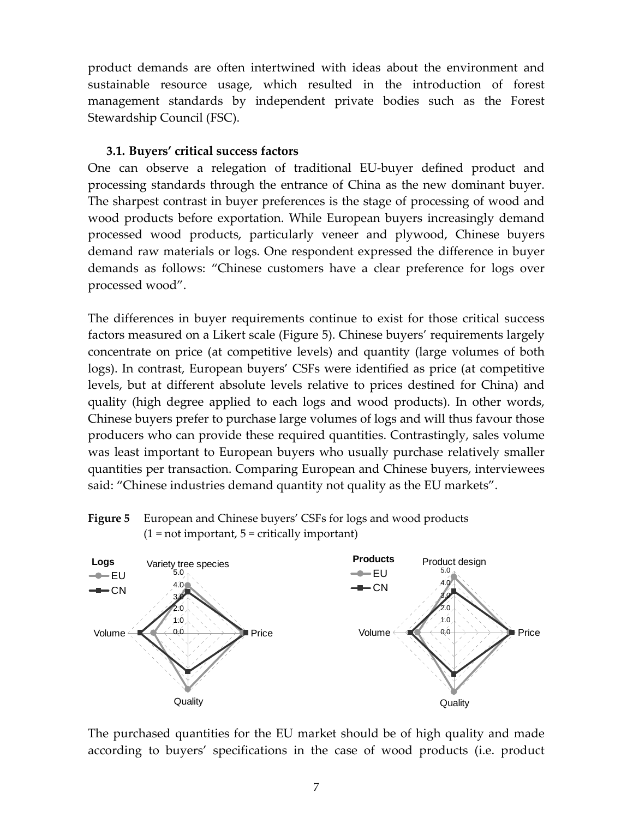product demands are often intertwined with ideas about the environment and sustainable resource usage, which resulted in the introduction of forest management standards by independent private bodies such as the Forest Stewardship Council (FSC).

### **3.1. Buyers' critical success factors**

One can observe a relegation of traditional EU‐buyer defined product and processing standards through the entrance of China as the new dominant buyer. The sharpest contrast in buyer preferences is the stage of processing of wood and wood products before exportation. While European buyers increasingly demand processed wood products, particularly veneer and plywood, Chinese buyers demand raw materials or logs. One respondent expressed the difference in buyer demands as follows: "Chinese customers have a clear preference for logs over processed wood".

The differences in buyer requirements continue to exist for those critical success factors measured on a Likert scale (Figure 5). Chinese buyers' requirements largely concentrate on price (at competitive levels) and quantity (large volumes of both logs). In contrast, European buyers' CSFs were identified as price (at competitive levels, but at different absolute levels relative to prices destined for China) and quality (high degree applied to each logs and wood products). In other words, Chinese buyers prefer to purchase large volumes of logs and will thus favour those producers who can provide these required quantities. Contrastingly, sales volume was least important to European buyers who usually purchase relatively smaller quantities per transaction. Comparing European and Chinese buyers, interviewees said: "Chinese industries demand quantity not quality as the EU markets".

# **Figure 5** European and Chinese buyers' CSFs for logs and wood products  $(1 = not important, 5 = critically important)$



The purchased quantities for the EU market should be of high quality and made according to buyers' specifications in the case of wood products (i.e. product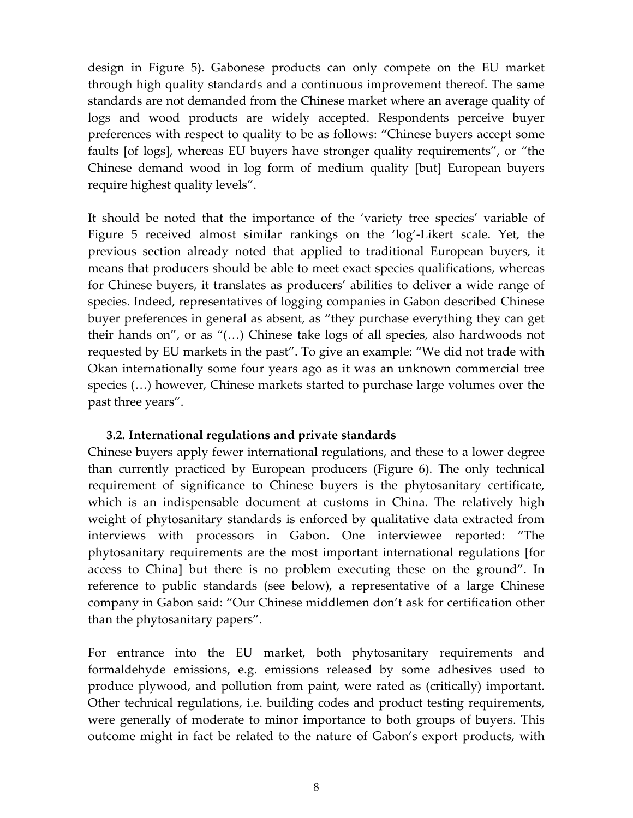design in Figure 5). Gabonese products can only compete on the EU market through high quality standards and a continuous improvement thereof. The same standards are not demanded from the Chinese market where an average quality of logs and wood products are widely accepted. Respondents perceive buyer preferences with respect to quality to be as follows: "Chinese buyers accept some faults [of logs], whereas EU buyers have stronger quality requirements", or "the Chinese demand wood in log form of medium quality [but] European buyers require highest quality levels".

It should be noted that the importance of the 'variety tree species' variable of Figure 5 received almost similar rankings on the 'log'‐Likert scale. Yet, the previous section already noted that applied to traditional European buyers, it means that producers should be able to meet exact species qualifications, whereas for Chinese buyers, it translates as producers' abilities to deliver a wide range of species. Indeed, representatives of logging companies in Gabon described Chinese buyer preferences in general as absent, as "they purchase everything they can get their hands on", or as "(…) Chinese take logs of all species, also hardwoods not requested by EU markets in the past". To give an example: "We did not trade with Okan internationally some four years ago as it was an unknown commercial tree species (…) however, Chinese markets started to purchase large volumes over the past three years".

#### **3.2. International regulations and private standards**

Chinese buyers apply fewer international regulations, and these to a lower degree than currently practiced by European producers (Figure 6). The only technical requirement of significance to Chinese buyers is the phytosanitary certificate, which is an indispensable document at customs in China. The relatively high weight of phytosanitary standards is enforced by qualitative data extracted from interviews with processors in Gabon. One interviewee reported: "The phytosanitary requirements are the most important international regulations [for access to China] but there is no problem executing these on the ground". In reference to public standards (see below), a representative of a large Chinese company in Gabon said: "Our Chinese middlemen don't ask for certification other than the phytosanitary papers".

For entrance into the EU market, both phytosanitary requirements and formaldehyde emissions, e.g. emissions released by some adhesives used to produce plywood, and pollution from paint, were rated as (critically) important. Other technical regulations, i.e. building codes and product testing requirements, were generally of moderate to minor importance to both groups of buyers. This outcome might in fact be related to the nature of Gabon's export products, with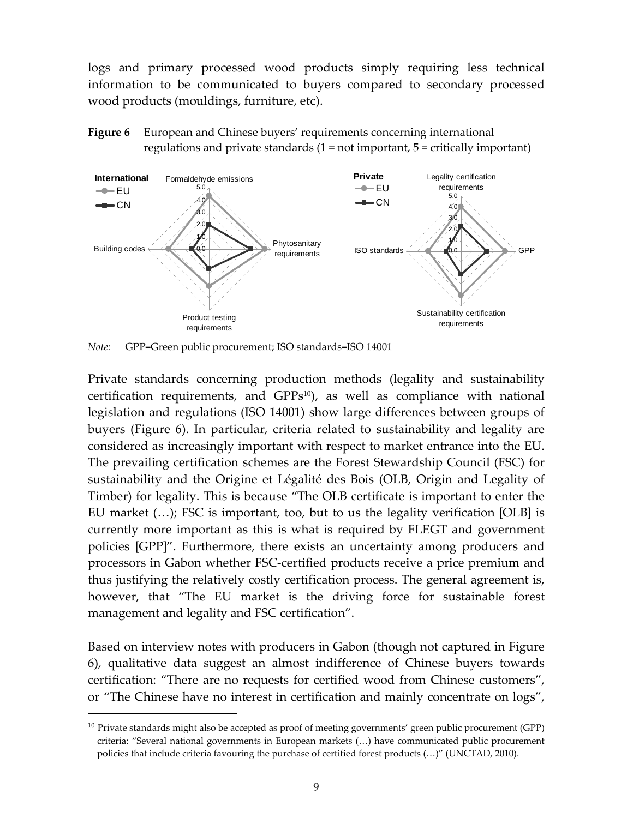logs and primary processed wood products simply requiring less technical information to be communicated to buyers compared to secondary processed wood products (mouldings, furniture, etc).





*Note:* GPP=Green public procurement; ISO standards=ISO 14001

1

Private standards concerning production methods (legality and sustainability certification requirements, and  $GPPs<sup>10</sup>$ , as well as compliance with national legislation and regulations (ISO 14001) show large differences between groups of buyers (Figure 6). In particular, criteria related to sustainability and legality are considered as increasingly important with respect to market entrance into the EU. The prevailing certification schemes are the Forest Stewardship Council (FSC) for sustainability and the Origine et Légalité des Bois (OLB, Origin and Legality of Timber) for legality. This is because "The OLB certificate is important to enter the EU market (…); FSC is important, too, but to us the legality verification [OLB] is currently more important as this is what is required by FLEGT and government policies [GPP]". Furthermore, there exists an uncertainty among producers and processors in Gabon whether FSC‐certified products receive a price premium and thus justifying the relatively costly certification process. The general agreement is, however, that "The EU market is the driving force for sustainable forest management and legality and FSC certification".

Based on interview notes with producers in Gabon (though not captured in Figure 6), qualitative data suggest an almost indifference of Chinese buyers towards certification: "There are no requests for certified wood from Chinese customers", or "The Chinese have no interest in certification and mainly concentrate on logs",

<span id="page-9-0"></span> $10$  Private standards might also be accepted as proof of meeting governments' green public procurement (GPP) criteria: "Several national governments in European markets (…) have communicated public procurement policies that include criteria favouring the purchase of certified forest products (…)" (UNCTAD, 2010).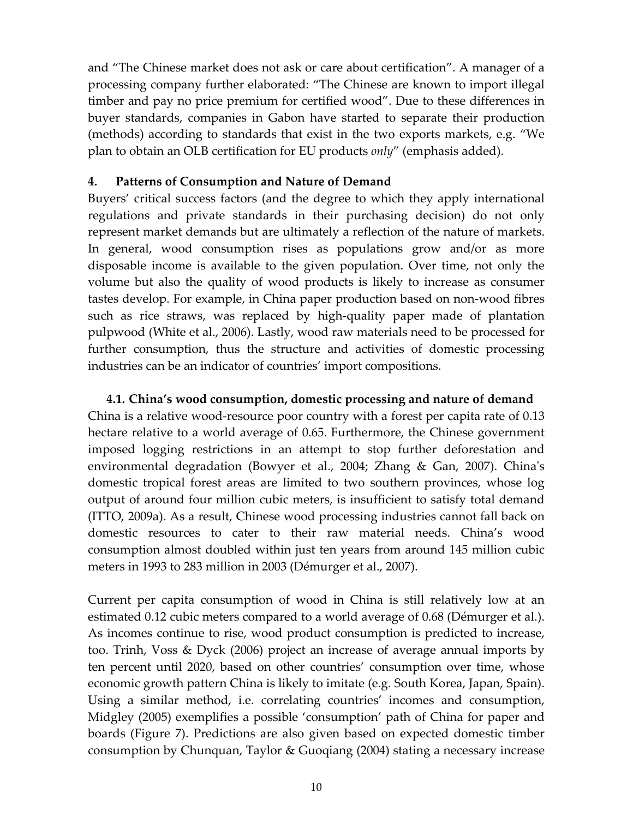and "The Chinese market does not ask or care about certification". A manager of a processing company further elaborated: "The Chinese are known to import illegal timber and pay no price premium for certified wood". Due to these differences in buyer standards, companies in Gabon have started to separate their production (methods) according to standards that exist in the two exports markets, e.g. "We plan to obtain an OLB certification for EU products *only*" (emphasis added).

### **4. Patterns of Consumption and Nature of Demand**

Buyers' critical success factors (and the degree to which they apply international regulations and private standards in their purchasing decision) do not only represent market demands but are ultimately a reflection of the nature of markets. In general, wood consumption rises as populations grow and/or as more disposable income is available to the given population. Over time, not only the volume but also the quality of wood products is likely to increase as consumer tastes develop. For example, in China paper production based on non‐wood fibres such as rice straws, was replaced by high‐quality paper made of plantation pulpwood (White et al., 2006). Lastly, wood raw materials need to be processed for further consumption, thus the structure and activities of domestic processing industries can be an indicator of countries' import compositions.

# **4.1. China's wood consumption, domestic processing and nature of demand**

China is a relative wood‐resource poor country with a forest per capita rate of 0.13 hectare relative to a world average of 0.65. Furthermore, the Chinese government imposed logging restrictions in an attempt to stop further deforestation and environmental degradation (Bowyer et al., 2004; Zhang & Gan, 2007). Chinaʹs domestic tropical forest areas are limited to two southern provinces, whose log output of around four million cubic meters, is insufficient to satisfy total demand (ITTO, 2009a). As a result, Chinese wood processing industries cannot fall back on domestic resources to cater to their raw material needs. China's wood consumption almost doubled within just ten years from around 145 million cubic meters in 1993 to 283 million in 2003 (Démurger et al., 2007).

Current per capita consumption of wood in China is still relatively low at an estimated 0.12 cubic meters compared to a world average of 0.68 (Démurger et al.). As incomes continue to rise, wood product consumption is predicted to increase, too. Trinh, Voss & Dyck (2006) project an increase of average annual imports by ten percent until 2020, based on other countries' consumption over time, whose economic growth pattern China is likely to imitate (e.g. South Korea, Japan, Spain). Using a similar method, i.e. correlating countries' incomes and consumption, Midgley (2005) exemplifies a possible 'consumption' path of China for paper and boards (Figure 7). Predictions are also given based on expected domestic timber consumption by Chunquan, Taylor & Guoqiang (2004) stating a necessary increase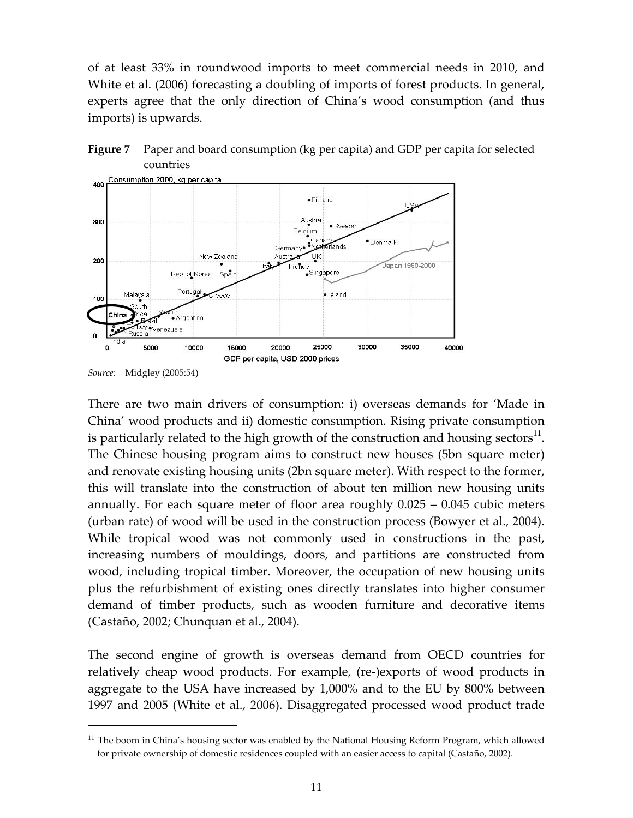of at least 33% in roundwood imports to meet commercial needs in 2010, and White et al. (2006) forecasting a doubling of imports of forest products. In general, experts agree that the only direction of China's wood consumption (and thus imports) is upwards.





The second engine of growth is overseas demand from OECD countries for relatively cheap wood products. For example, (re‐)exports of wood products in aggregate to the USA have increased by 1,000% and to the EU by 800% between 1997 and 2005 (White et al., 2006). Disaggregated processed wood product trade

1

There are two main drivers of consumption: i) overseas demands for 'Made in China' wood products and ii) domestic consumption. Rising private consumption is particularly related to the high growth of the construction and housing sectors $\cdot$ <sup>1</sup>. The Chinese housing program aims to construct new houses (5bn square meter) and renovate existing housing units (2bn square meter). With respect to the former, this will translate into the construction of about ten million new housing units annually. For each square meter of floor area roughly 0.025 – 0.045 cubic meters (urban rate) of wood will be used in the construction process (Bowyer et al., 2004). While tropical wood was not commonly used in constructions in the past, increasing numbers of mouldings, doors, and partitions are constructed from wood, including tropical timber. Moreover, the occupation of new housing units plus the refurbishment of existing ones directly translates into higher consumer demand of timber products, such as wooden furniture and decorative items (Castaño, 2002; Chunquan et al., 2004).

<span id="page-11-0"></span> $11$  The boom in China's housing sector was enabled by the National Housing Reform Program, which allowed for private ownership of domestic residences coupled with an easier access to capital (Castaño, 2002).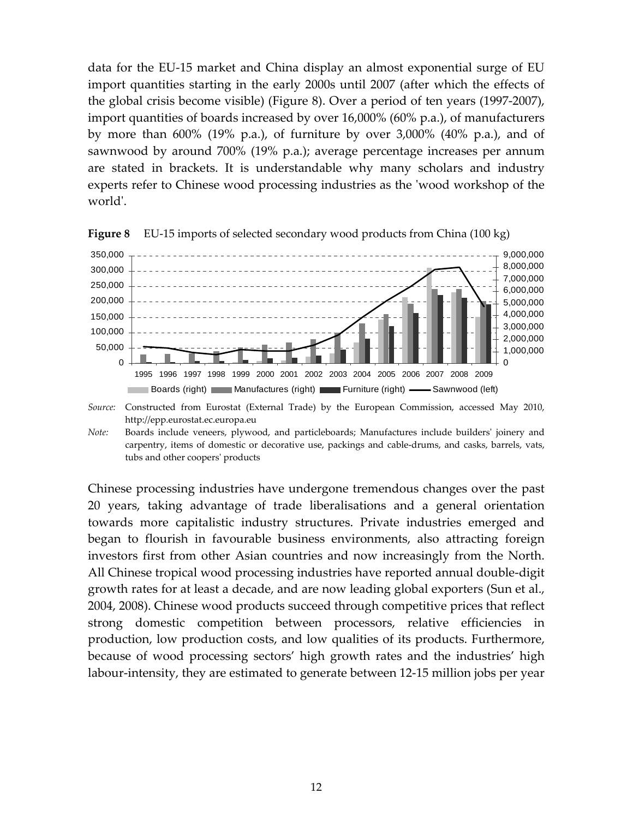data for the EU‐15 market and China display an almost exponential surge of EU import quantities starting in the early 2000s until 2007 (after which the effects of the global crisis become visible) (Figure 8). Over a period of ten years (1997‐2007), import quantities of boards increased by over 16,000% (60% p.a.), of manufacturers by more than 600% (19% p.a.), of furniture by over 3,000% (40% p.a.), and of sawnwood by around 700% (19% p.a.); average percentage increases per annum are stated in brackets. It is understandable why many scholars and industry experts refer to Chinese wood processing industries as the ʹwood workshop of the worldʹ.



**Figure 8** EU-15 imports of selected secondary wood products from China (100 kg)

*Source:* Constructed from Eurostat (External Trade) by the European Commission, accessed May 2010, http://epp.eurostat.ec.europa.eu

*Note:* Boards include veneers, plywood, and particleboards; Manufactures include builders' joinery and carpentry, items of domestic or decorative use, packings and cable-drums, and casks, barrels, vats, tubs and other coopersʹ products

Chinese processing industries have undergone tremendous changes over the past 20 years, taking advantage of trade liberalisations and a general orientation towards more capitalistic industry structures. Private industries emerged and began to flourish in favourable business environments, also attracting foreign investors first from other Asian countries and now increasingly from the North. All Chinese tropical wood processing industries have reported annual double‐digit growth rates for at least a decade, and are now leading global exporters (Sun et al., 2004, 2008). Chinese wood products succeed through competitive prices that reflect strong domestic competition between processors, relative efficiencies in production, low production costs, and low qualities of its products. Furthermore, because of wood processing sectors' high growth rates and the industries' high labour-intensity, they are estimated to generate between 12-15 million jobs per year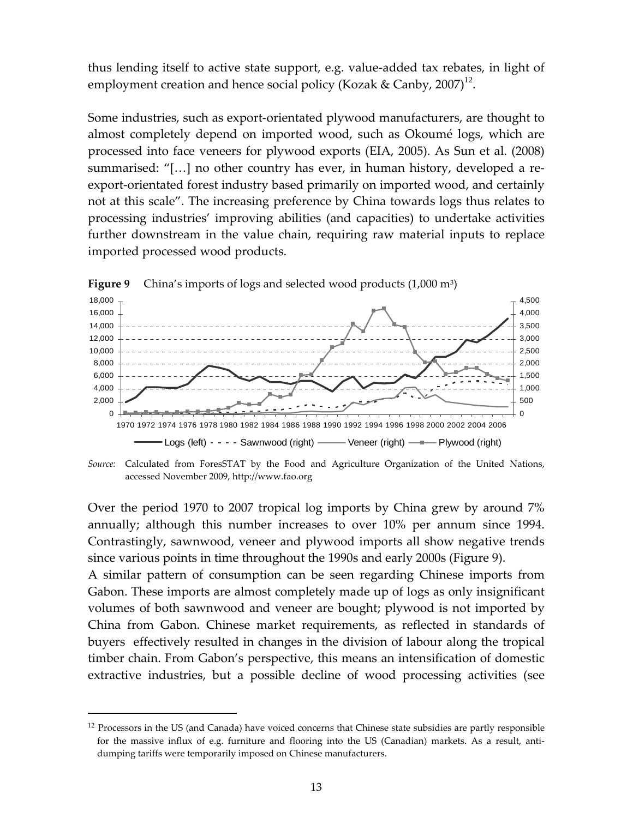thus lending itself to active state support, e.g. value‐added tax rebates, in light of employment creation and hence social policy (Kozak & Canby, 2007)<sup>[12](#page-13-0)</sup>.

Some industries, such as export‐orientated plywood manufacturers, are thought to almost completely depend on imported wood, such as Okoumé logs, which are processed into face veneers for plywood exports (EIA, 2005). As Sun et al. (2008) summarised: "[…] no other country has ever, in human history, developed a re‐ export-orientated forest industry based primarily on imported wood, and certainly not at this scale". The increasing preference by China towards logs thus relates to processing industries' improving abilities (and capacities) to undertake activities further downstream in the value chain, requiring raw material inputs to replace imported processed wood products.



*Source:* Calculated from ForesSTAT by the Food and Agriculture Organization of the United Nations, accessed November 2009, http://www.fao.org

Over the period 1970 to 2007 tropical log imports by China grew by around 7% annually; although this number increases to over 10% per annum since 1994. Contrastingly, sawnwood, veneer and plywood imports all show negative trends since various points in time throughout the 1990s and early 2000s (Figure 9).

A similar pattern of consumption can be seen regarding Chinese imports from Gabon. These imports are almost completely made up of logs as only insignificant volumes of both sawnwood and veneer are bought; plywood is not imported by China from Gabon. Chinese market requirements, as reflected in standards of buyers effectively resulted in changes in the division of labour along the tropical timber chain. From Gabon's perspective, this means an intensification of domestic extractive industries, but a possible decline of wood processing activities (see

 $\overline{a}$ 

<span id="page-13-0"></span><sup>&</sup>lt;sup>12</sup> Processors in the US (and Canada) have voiced concerns that Chinese state subsidies are partly responsible for the massive influx of e.g. furniture and flooring into the US (Canadian) markets. As a result, antidumping tariffs were temporarily imposed on Chinese manufacturers.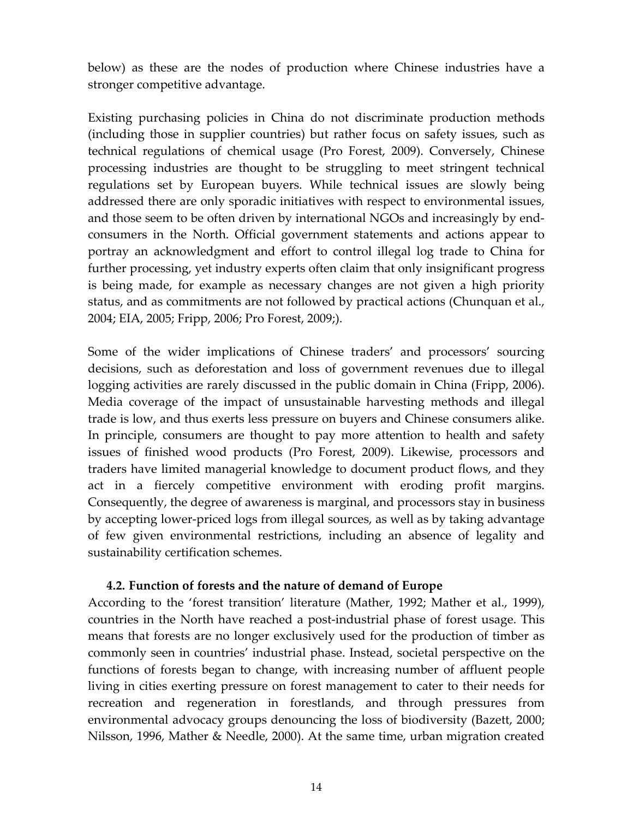below) as these are the nodes of production where Chinese industries have a stronger competitive advantage.

Existing purchasing policies in China do not discriminate production methods (including those in supplier countries) but rather focus on safety issues, such as technical regulations of chemical usage (Pro Forest, 2009). Conversely, Chinese processing industries are thought to be struggling to meet stringent technical regulations set by European buyers. While technical issues are slowly being addressed there are only sporadic initiatives with respect to environmental issues, and those seem to be often driven by international NGOs and increasingly by end‐ consumers in the North. Official government statements and actions appear to portray an acknowledgment and effort to control illegal log trade to China for further processing, yet industry experts often claim that only insignificant progress is being made, for example as necessary changes are not given a high priority status, and as commitments are not followed by practical actions (Chunquan et al., 2004; EIA, 2005; Fripp, 2006; Pro Forest, 2009;).

Some of the wider implications of Chinese traders' and processors' sourcing decisions, such as deforestation and loss of government revenues due to illegal logging activities are rarely discussed in the public domain in China (Fripp, 2006). Media coverage of the impact of unsustainable harvesting methods and illegal trade is low, and thus exerts less pressure on buyers and Chinese consumers alike. In principle, consumers are thought to pay more attention to health and safety issues of finished wood products (Pro Forest, 2009). Likewise, processors and traders have limited managerial knowledge to document product flows, and they act in a fiercely competitive environment with eroding profit margins. Consequently, the degree of awareness is marginal, and processors stay in business by accepting lower‐priced logs from illegal sources, as well as by taking advantage of few given environmental restrictions, including an absence of legality and sustainability certification schemes.

#### **4.2. Function of forests and the nature of demand of Europe**

According to the 'forest transition' literature (Mather, 1992; Mather et al., 1999), countries in the North have reached a post‐industrial phase of forest usage. This means that forests are no longer exclusively used for the production of timber as commonly seen in countries' industrial phase. Instead, societal perspective on the functions of forests began to change, with increasing number of affluent people living in cities exerting pressure on forest management to cater to their needs for recreation and regeneration in forestlands, and through pressures from environmental advocacy groups denouncing the loss of biodiversity (Bazett, 2000; Nilsson, 1996, Mather & Needle, 2000). At the same time, urban migration created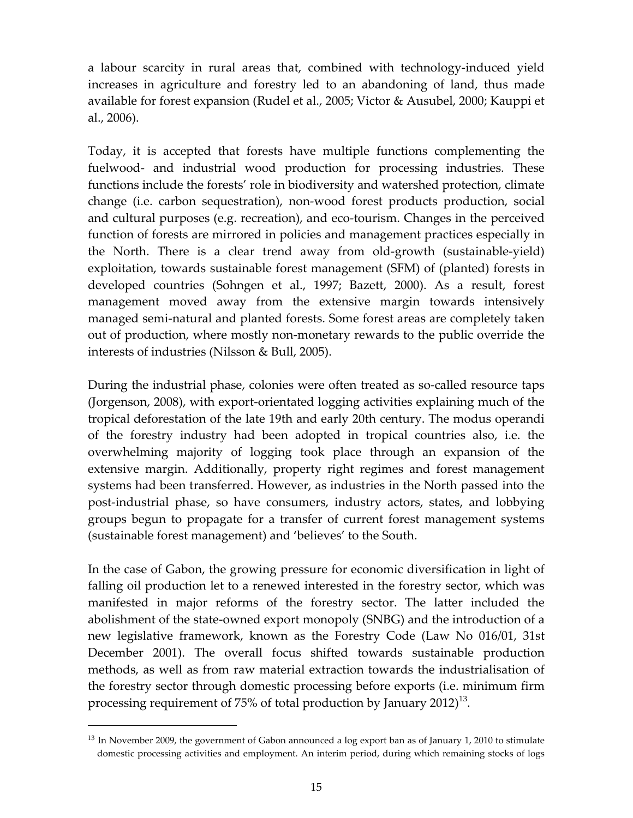a labour scarcity in rural areas that, combined with technology‐induced yield increases in agriculture and forestry led to an abandoning of land, thus made available for forest expansion (Rudel et al., 2005; Victor & Ausubel, 2000; Kauppi et al., 2006).

Today, it is accepted that forests have multiple functions complementing the fuelwood- and industrial wood production for processing industries. These functions include the forests' role in biodiversity and watershed protection, climate change (i.e. carbon sequestration), non‐wood forest products production, social and cultural purposes (e.g. recreation), and eco-tourism. Changes in the perceived function of forests are mirrored in policies and management practices especially in the North. There is a clear trend away from old‐growth (sustainable‐yield) exploitation, towards sustainable forest management (SFM) of (planted) forests in developed countries (Sohngen et al., 1997; Bazett, 2000). As a result, forest management moved away from the extensive margin towards intensively managed semi-natural and planted forests. Some forest areas are completely taken out of production, where mostly non‐monetary rewards to the public override the interests of industries (Nilsson & Bull, 2005).

During the industrial phase, colonies were often treated as so-called resource taps (Jorgenson, 2008), with export‐orientated logging activities explaining much of the tropical deforestation of the late 19th and early 20th century. The modus operandi of the forestry industry had been adopted in tropical countries also, i.e. the overwhelming majority of logging took place through an expansion of the extensive margin. Additionally, property right regimes and forest management systems had been transferred. However, as industries in the North passed into the post‐industrial phase, so have consumers, industry actors, states, and lobbying groups begun to propagate for a transfer of current forest management systems (sustainable forest management) and 'believes' to the South.

In the case of Gabon, the growing pressure for economic diversification in light of falling oil production let to a renewed interested in the forestry sector, which was manifested in major reforms of the forestry sector. The latter included the abolishment of the state‐owned export monopoly (SNBG) and the introduction of a new legislative framework, known as the Forestry Code (Law No 016/01, 31st December 2001). The overall focus shifted towards sustainable production methods, as well as from raw material extraction towards the industrialisation of the forestry sector through domestic processing before exports (i.e. minimum firm processing requirement of 75% of total production by January  $2012$ <sup>[13](#page-15-0)</sup>.

1

<span id="page-15-0"></span><sup>&</sup>lt;sup>13</sup> In November 2009, the government of Gabon announced a log export ban as of January 1, 2010 to stimulate domestic processing activities and employment. An interim period, during which remaining stocks of logs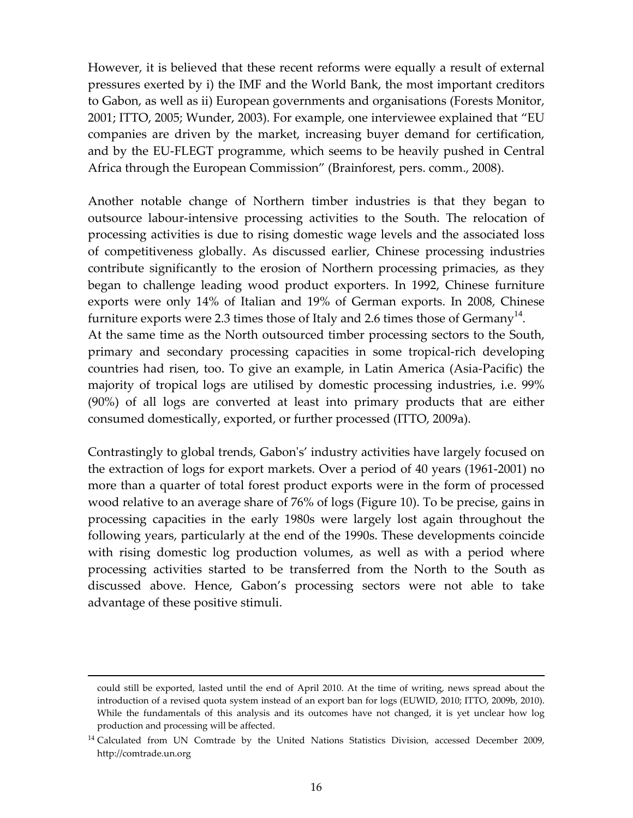However, it is believed that these recent reforms were equally a result of external pressures exerted by i) the IMF and the World Bank, the most important creditors to Gabon, as well as ii) European governments and organisations (Forests Monitor, 2001; ITTO, 2005; Wunder, 2003). For example, one interviewee explained that "EU companies are driven by the market, increasing buyer demand for certification, and by the EU‐FLEGT programme, which seems to be heavily pushed in Central Africa through the European Commission" (Brainforest, pers. comm., 2008).

Another notable change of Northern timber industries is that they began to outsource labour‐intensive processing activities to the South. The relocation of processing activities is due to rising domestic wage levels and the associated loss of competitiveness globally. As discussed earlier, Chinese processing industries contribute significantly to the erosion of Northern processing primacies, as they began to challenge leading wood product exporters. In 1992, Chinese furniture exports were only 14% of Italian and 19% of German exports. In 2008, Chinese furniture exports were 2.3 times those of Italy and 2.6 times those of Germany<sup>[14](#page-16-0)</sup>. At the same time as the North outsourced timber processing sectors to the South, primary and secondary processing capacities in some tropical‐rich developing countries had risen, too. To give an example, in Latin America (Asia‐Pacific) the majority of tropical logs are utilised by domestic processing industries, i.e. 99% (90%) of all logs are converted at least into primary products that are either consumed domestically, exported, or further processed (ITTO, 2009a).

Contrastingly to global trends, Gabonʹs' industry activities have largely focused on the extraction of logs for export markets. Over a period of 40 years (1961‐2001) no more than a quarter of total forest product exports were in the form of processed wood relative to an average share of 76% of logs (Figure 10). To be precise, gains in processing capacities in the early 1980s were largely lost again throughout the following years, particularly at the end of the 1990s. These developments coincide with rising domestic log production volumes, as well as with a period where processing activities started to be transferred from the North to the South as discussed above. Hence, Gabon's processing sectors were not able to take advantage of these positive stimuli.

<u>.</u>

could still be exported, lasted until the end of April 2010. At the time of writing, news spread about the introduction of a revised quota system instead of an export ban for logs (EUWID, 2010; ITTO, 2009b, 2010). While the fundamentals of this analysis and its outcomes have not changed, it is yet unclear how log production and processing will be affected.

<span id="page-16-0"></span><sup>&</sup>lt;sup>14</sup> Calculated from UN Comtrade by the United Nations Statistics Division, accessed December 2009, http://comtrade.un.org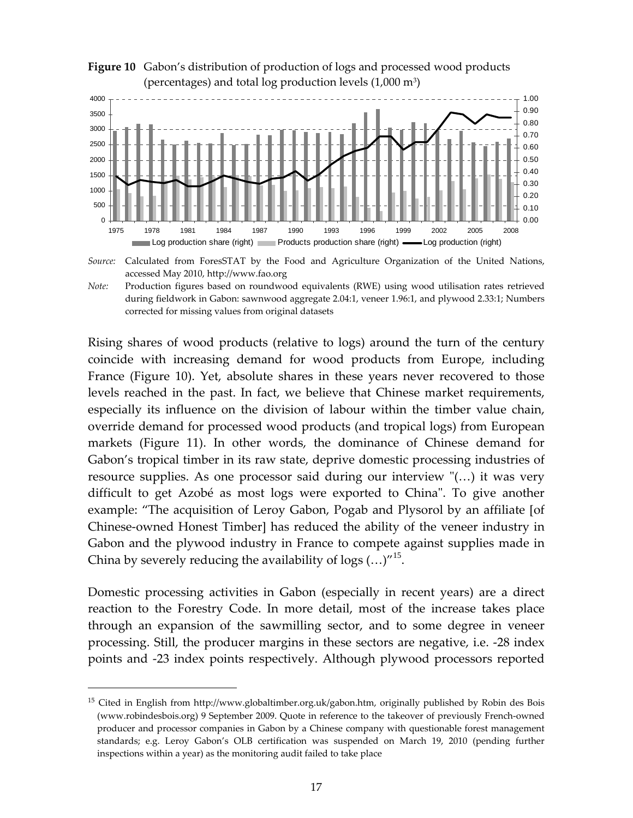

**Figure 10** Gabon's distribution of production of logs and processed wood products (percentages) and total log production levels (1,000 m3)

*Source:* Calculated from ForesSTAT by the Food and Agriculture Organization of the United Nations, accessed May 2010, http://www.fao.org

Rising shares of wood products (relative to logs) around the turn of the century coincide with increasing demand for wood products from Europe, including France (Figure 10). Yet, absolute shares in these years never recovered to those levels reached in the past. In fact, we believe that Chinese market requirements, especially its influence on the division of labour within the timber value chain, override demand for processed wood products (and tropical logs) from European markets (Figure 11). In other words, the dominance of Chinese demand for Gabon's tropical timber in its raw state, deprive domestic processing industries of resource supplies. As one processor said during our interview  $\lbrack \cdot \ldots \rangle$  it was very difficult to get Azobé as most logs were exported to China". To give another example: "The acquisition of Leroy Gabon, Pogab and Plysorol by an affiliate [of Chinese‐owned Honest Timber] has reduced the ability of the veneer industry in Gabon and the plywood industry in France to compete against supplies made in China by severely reducing the availability of  $\log s$  (...)<sup> $\frac{15}{5}$  $\frac{15}{5}$  $\frac{15}{5}$ </sup>.

Domestic processing activities in Gabon (especially in recent years) are a direct reaction to the Forestry Code. In more detail, most of the increase takes place through an expansion of the sawmilling sector, and to some degree in veneer processing. Still, the producer margins in these sectors are negative, i.e. ‐28 index points and ‐23 index points respectively. Although plywood processors reported

 $\overline{a}$ 

*Note:* Production figures based on roundwood equivalents (RWE) using wood utilisation rates retrieved during fieldwork in Gabon: sawnwood aggregate 2.04:1, veneer 1.96:1, and plywood 2.33:1; Numbers corrected for missing values from original datasets

<span id="page-17-0"></span><sup>15</sup> Cited in English from http://www.globaltimber.org.uk/gabon.htm, originally published by Robin des Bois (www.robindesbois.org) 9 September 2009. Quote in reference to the takeover of previously French‐owned producer and processor companies in Gabon by a Chinese company with questionable forest management standards; e.g. Leroy Gabon's OLB certification was suspended on March 19, 2010 (pending further inspections within a year) as the monitoring audit failed to take place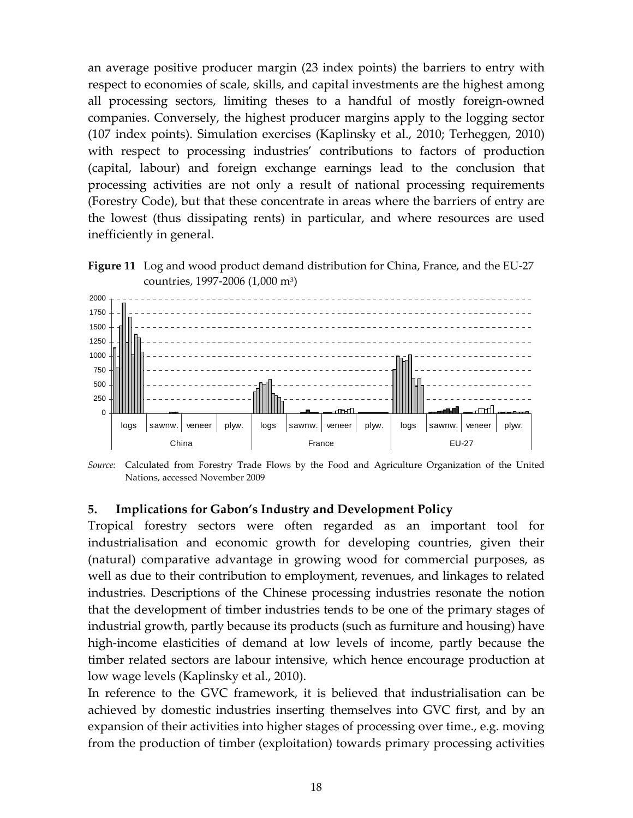an average positive producer margin (23 index points) the barriers to entry with respect to economies of scale, skills, and capital investments are the highest among all processing sectors, limiting theses to a handful of mostly foreign‐owned companies. Conversely, the highest producer margins apply to the logging sector (107 index points). Simulation exercises (Kaplinsky et al., 2010; Terheggen, 2010) with respect to processing industries' contributions to factors of production (capital, labour) and foreign exchange earnings lead to the conclusion that processing activities are not only a result of national processing requirements (Forestry Code), but that these concentrate in areas where the barriers of entry are the lowest (thus dissipating rents) in particular, and where resources are used inefficiently in general.





*Source:* Calculated from Forestry Trade Flows by the Food and Agriculture Organization of the United Nations, accessed November 2009

#### **5. Implications for Gabon's Industry and Development Policy**

Tropical forestry sectors were often regarded as an important tool for industrialisation and economic growth for developing countries, given their (natural) comparative advantage in growing wood for commercial purposes, as well as due to their contribution to employment, revenues, and linkages to related industries. Descriptions of the Chinese processing industries resonate the notion that the development of timber industries tends to be one of the primary stages of industrial growth, partly because its products (such as furniture and housing) have high-income elasticities of demand at low levels of income, partly because the timber related sectors are labour intensive, which hence encourage production at low wage levels (Kaplinsky et al., 2010).

In reference to the GVC framework, it is believed that industrialisation can be achieved by domestic industries inserting themselves into GVC first, and by an expansion of their activities into higher stages of processing over time., e.g. moving from the production of timber (exploitation) towards primary processing activities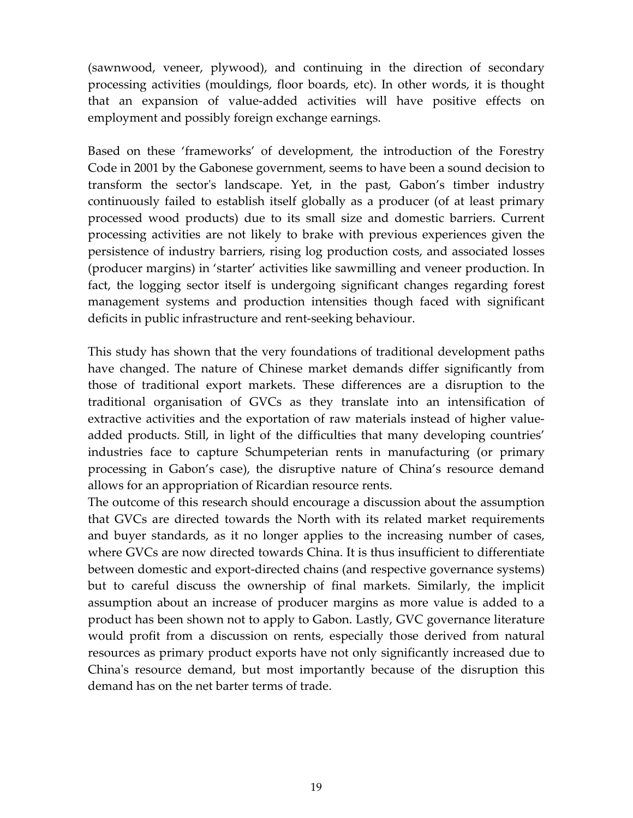(sawnwood, veneer, plywood), and continuing in the direction of secondary processing activities (mouldings, floor boards, etc). In other words, it is thought that an expansion of value‐added activities will have positive effects on employment and possibly foreign exchange earnings.

Based on these 'frameworks' of development, the introduction of the Forestry Code in 2001 by the Gabonese government, seems to have been a sound decision to transform the sector's landscape. Yet, in the past, Gabon's timber industry continuously failed to establish itself globally as a producer (of at least primary processed wood products) due to its small size and domestic barriers. Current processing activities are not likely to brake with previous experiences given the persistence of industry barriers, rising log production costs, and associated losses (producer margins) in 'starter' activities like sawmilling and veneer production. In fact, the logging sector itself is undergoing significant changes regarding forest management systems and production intensities though faced with significant deficits in public infrastructure and rent‐seeking behaviour.

This study has shown that the very foundations of traditional development paths have changed. The nature of Chinese market demands differ significantly from those of traditional export markets. These differences are a disruption to the traditional organisation of GVCs as they translate into an intensification of extractive activities and the exportation of raw materials instead of higher value‐ added products. Still, in light of the difficulties that many developing countries' industries face to capture Schumpeterian rents in manufacturing (or primary processing in Gabon's case), the disruptive nature of China's resource demand allows for an appropriation of Ricardian resource rents.

The outcome of this research should encourage a discussion about the assumption that GVCs are directed towards the North with its related market requirements and buyer standards, as it no longer applies to the increasing number of cases, where GVCs are now directed towards China. It is thus insufficient to differentiate between domestic and export‐directed chains (and respective governance systems) but to careful discuss the ownership of final markets. Similarly, the implicit assumption about an increase of producer margins as more value is added to a product has been shown not to apply to Gabon. Lastly, GVC governance literature would profit from a discussion on rents, especially those derived from natural resources as primary product exports have not only significantly increased due to China's resource demand, but most importantly because of the disruption this demand has on the net barter terms of trade.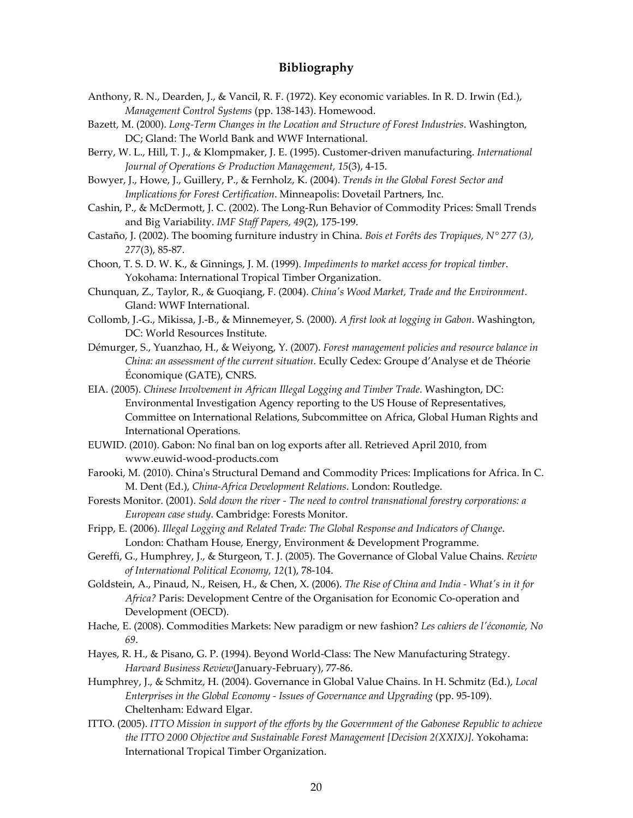#### **Bibliography**

- Anthony, R. N., Dearden, J., & Vancil, R. F. (1972). Key economic variables. In R. D. Irwin (Ed.), *Management Control Systems* (pp. 138‐143). Homewood.
- Bazett, M. (2000). *Long‐Term Changes in the Location and Structure of Forest Industries*. Washington, DC; Gland: The World Bank and WWF International.
- Berry, W. L., Hill, T. J., & Klompmaker, J. E. (1995). Customer‐driven manufacturing. *International Journal of Operations & Production Management, 15*(3), 4‐15.
- Bowyer, J., Howe, J., Guillery, P., & Fernholz, K. (2004). *Trends in the Global Forest Sector and Implications for Forest Certification*. Minneapolis: Dovetail Partners, Inc.
- Cashin, P., & McDermott, J. C. (2002). The Long‐Run Behavior of Commodity Prices: Small Trends and Big Variability. *IMF Staff Papers, 49*(2), 175‐199.
- Castaño, J. (2002). The booming furniture industry in China. *Bois et Forêts des Tropiques, N° 277 (3), 277*(3), 85‐87.
- Choon, T. S. D. W. K., & Ginnings, J. M. (1999). *Impediments to market access for tropical timber*. Yokohama: International Tropical Timber Organization.
- Chunquan, Z., Taylor, R., & Guoqiang, F. (2004). *Chinaʹs Wood Market, Trade and the Environment*. Gland: WWF International.
- Collomb, J.‐G., Mikissa, J.‐B., & Minnemeyer, S. (2000). *A first look at logging in Gabon*. Washington, DC: World Resources Institute.
- Démurger, S., Yuanzhao, H., & Weiyong, Y. (2007). *Forest management policies and resource balance in China: an assessment of the current situation*. Ecully Cedex: Groupe d'Analyse et de Théorie Économique (GATE), CNRS.
- EIA. (2005). *Chinese Involvement in African Illegal Logging and Timber Trade*. Washington, DC: Environmental Investigation Agency reporting to the US House of Representatives, Committee on International Relations, Subcommittee on Africa, Global Human Rights and International Operations.
- EUWID. (2010). Gabon: No final ban on log exports after all. Retrieved April 2010, from www.euwid‐wood‐products.com
- Farooki, M. (2010). Chinaʹs Structural Demand and Commodity Prices: Implications for Africa. In C. M. Dent (Ed.), *China‐Africa Development Relations*. London: Routledge.
- Forests Monitor. (2001). *Sold down the river ‐ The need to control transnational forestry corporations: a European case study*. Cambridge: Forests Monitor.
- Fripp, E. (2006). *Illegal Logging and Related Trade: The Global Response and Indicators of Change*. London: Chatham House, Energy, Environment & Development Programme.
- Gereffi, G., Humphrey, J., & Sturgeon, T. J. (2005). The Governance of Global Value Chains. *Review of International Political Economy, 12*(1), 78‐104.
- Goldstein, A., Pinaud, N., Reisen, H., & Chen, X. (2006). *The Rise of China and India ‐ Whatʹs in it for* Africa? Paris: Development Centre of the Organisation for Economic Co-operation and Development (OECD).
- Hache, E. (2008). Commodities Markets: New paradigm or new fashion? *Les cahiers de lʹéconomie, No 69*.
- Hayes, R. H., & Pisano, G. P. (1994). Beyond World‐Class: The New Manufacturing Strategy. *Harvard Business Review*(January‐February), 77‐86.
- Humphrey, J., & Schmitz, H. (2004). Governance in Global Value Chains. In H. Schmitz (Ed.), *Local Enterprises in the Global Economy ‐ Issues of Governance and Upgrading* (pp. 95‐109). Cheltenham: Edward Elgar.
- ITTO. (2005). *ITTO Mission in support of the efforts by the Government of the Gabonese Republic to achieve the ITTO 2000 Objective and Sustainable Forest Management [Decision 2(XXIX)]*. Yokohama: International Tropical Timber Organization.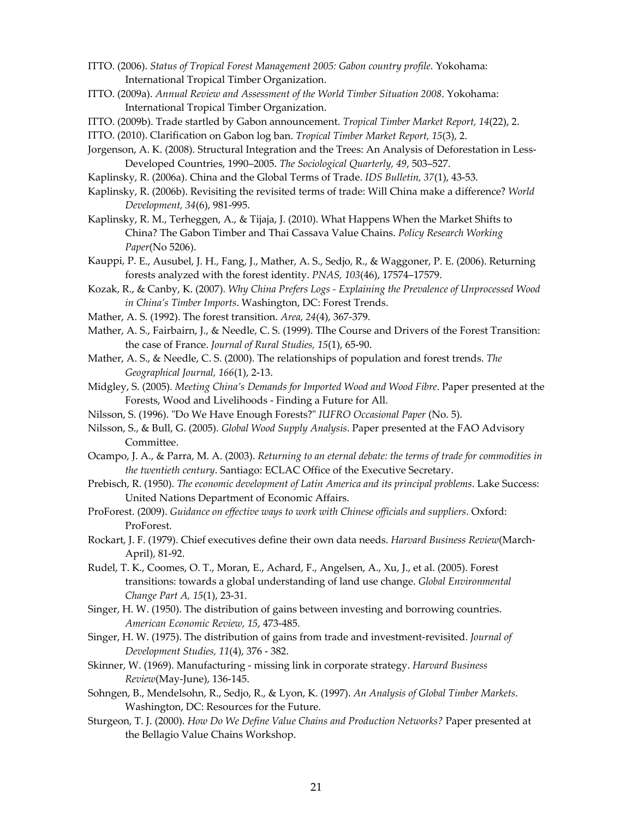- ITTO. (2006). *Status of Tropical Forest Management 2005: Gabon country profile*. Yokohama: International Tropical Timber Organization.
- ITTO. (2009a). *Annual Review and Assessment of the World Timber Situation 2008*. Yokohama: International Tropical Timber Organization.
- ITTO. (2009b). Trade startled by Gabon announcement. *Tropical Timber Market Report, 14*(22), 2.
- ITTO. (2010). Clarification on Gabon log ban. *Tropical Timber Market Report, 15*(3), 2.
- Jorgenson, A. K. (2008). Structural Integration and the Trees: An Analysis of Deforestation in Less‐ Developed Countries, 1990–2005. *The Sociological Quarterly, 49*, 503–527.
- Kaplinsky, R. (2006a). China and the Global Terms of Trade. *IDS Bulletin, 37*(1), 43‐53.
- Kaplinsky, R. (2006b). Revisiting the revisited terms of trade: Will China make a difference? *World Development, 34*(6), 981‐995.
- Kaplinsky, R. M., Terheggen, A., & Tijaja, J. (2010). What Happens When the Market Shifts to China? The Gabon Timber and Thai Cassava Value Chains. *Policy Research Working Paper*(No 5206).
- Kauppi, P. E., Ausubel, J. H., Fang, J., Mather, A. S., Sedjo, R., & Waggoner, P. E. (2006). Returning forests analyzed with the forest identity. *PNAS, 103*(46), 17574–17579.
- Kozak, R., & Canby, K. (2007). *Why China Prefers Logs ‐ Explaining the Prevalence of Unprocessed Wood in China's Timber Imports*. Washington, DC: Forest Trends.
- Mather, A. S. (1992). The forest transition. *Area, 24*(4), 367‐379.
- Mather, A. S., Fairbairn, J., & Needle, C. S. (1999). TIhe Course and Drivers of the Forest Transition: the case of France. *Journal of Rural Studies, 15*(1), 65‐90.
- Mather, A. S., & Needle, C. S. (2000). The relationships of population and forest trends. *The Geographical Journal, 166*(1), 2‐13.
- Midgley, S. (2005). *Meeting China's Demands for Imported Wood and Wood Fibre*. Paper presented at the Forests, Wood and Livelihoods ‐ Finding a Future for All.
- Nilsson, S. (1996). ʺDo We Have Enough Forests?ʺ *IUFRO Occasional Paper* (No. 5).
- Nilsson, S., & Bull, G. (2005). *Global Wood Supply Analysis*. Paper presented at the FAO Advisory Committee.
- Ocampo, J. A., & Parra, M. A. (2003). *Returning to an eternal debate: the terms of trade for commodities in the twentieth century*. Santiago: ECLAC Office of the Executive Secretary.
- Prebisch, R. (1950). *The economic development of Latin America and its principal problems*. Lake Success: United Nations Department of Economic Affairs.
- ProForest. (2009). *Guidance on effective ways to work with Chinese officials and suppliers*. Oxford: ProForest.
- Rockart, J. F. (1979). Chief executives define their own data needs. *Harvard Business Review*(March‐ April), 81‐92.
- Rudel, T. K., Coomes, O. T., Moran, E., Achard, F., Angelsen, A., Xu, J., et al. (2005). Forest transitions: towards a global understanding of land use change. *Global Environmental Change Part A, 15*(1), 23‐31.
- Singer, H. W. (1950). The distribution of gains between investing and borrowing countries. *American Economic Review, 15*, 473‐485.
- Singer, H. W. (1975). The distribution of gains from trade and investment‐revisited. *Journal of Development Studies, 11*(4), 376 ‐ 382.
- Skinner, W. (1969). Manufacturing ‐ missing link in corporate strategy. *Harvard Business Review*(May‐June), 136‐145.
- Sohngen, B., Mendelsohn, R., Sedjo, R., & Lyon, K. (1997). *An Analysis of Global Timber Markets*. Washington, DC: Resources for the Future.
- Sturgeon, T. J. (2000). *How Do We Define Value Chains and Production Networks?* Paper presented at the Bellagio Value Chains Workshop.